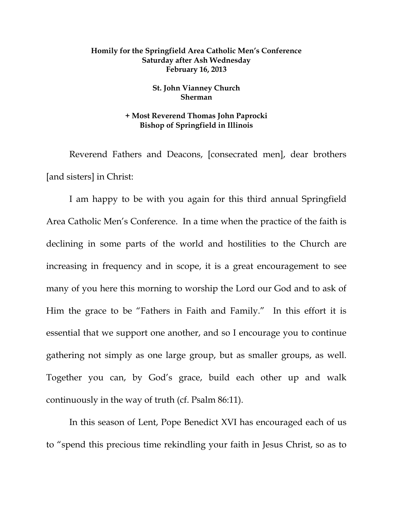## **Homily for the Springfield Area Catholic Men's Conference Saturday after Ash Wednesday February 16, 2013**

## **St. John Vianney Church Sherman**

## **+ Most Reverend Thomas John Paprocki Bishop of Springfield in Illinois**

Reverend Fathers and Deacons, [consecrated men], dear brothers [and sisters] in Christ:

 I am happy to be with you again for this third annual Springfield Area Catholic Men's Conference. In a time when the practice of the faith is declining in some parts of the world and hostilities to the Church are increasing in frequency and in scope, it is a great encouragement to see many of you here this morning to worship the Lord our God and to ask of Him the grace to be "Fathers in Faith and Family." In this effort it is essential that we support one another, and so I encourage you to continue gathering not simply as one large group, but as smaller groups, as well. Together you can, by God's grace, build each other up and walk continuously in the way of truth (cf. Psalm 86:11).

 In this season of Lent, Pope Benedict XVI has encouraged each of us to "spend this precious time rekindling your faith in Jesus Christ, so as to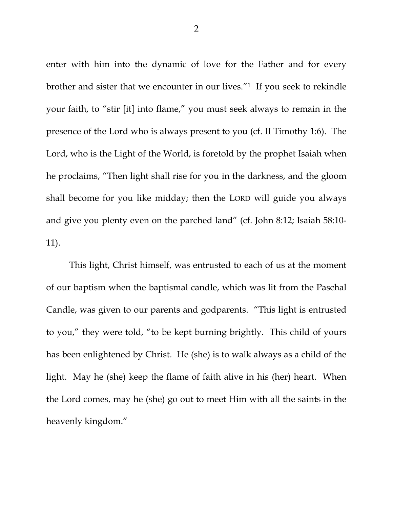enter with him into the dynamic of love for the Father and for every brother and sister that we encounter in our lives."1 If you seek to rekindle your faith, to "stir [it] into flame," you must seek always to remain in the presence of the Lord who is always present to you (cf. II Timothy 1:6). The Lord, who is the Light of the World, is foretold by the prophet Isaiah when he proclaims, "Then light shall rise for you in the darkness, and the gloom shall become for you like midday; then the LORD will guide you always and give you plenty even on the parched land" (cf. John 8:12; Isaiah 58:10- 11).

 This light, Christ himself, was entrusted to each of us at the moment of our baptism when the baptismal candle, which was lit from the Paschal Candle, was given to our parents and godparents. "This light is entrusted to you," they were told, "to be kept burning brightly. This child of yours has been enlightened by Christ. He (she) is to walk always as a child of the light. May he (she) keep the flame of faith alive in his (her) heart. When the Lord comes, may he (she) go out to meet Him with all the saints in the heavenly kingdom."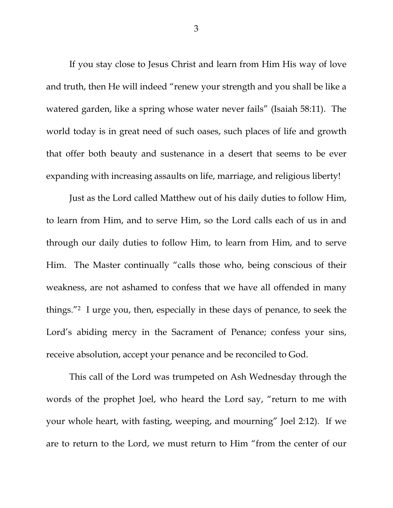If you stay close to Jesus Christ and learn from Him His way of love and truth, then He will indeed "renew your strength and you shall be like a watered garden, like a spring whose water never fails" (Isaiah 58:11). The world today is in great need of such oases, such places of life and growth that offer both beauty and sustenance in a desert that seems to be ever expanding with increasing assaults on life, marriage, and religious liberty!

 Just as the Lord called Matthew out of his daily duties to follow Him, to learn from Him, and to serve Him, so the Lord calls each of us in and through our daily duties to follow Him, to learn from Him, and to serve Him. The Master continually "calls those who, being conscious of their weakness, are not ashamed to confess that we have all offended in many things."2 I urge you, then, especially in these days of penance, to seek the Lord's abiding mercy in the Sacrament of Penance; confess your sins, receive absolution, accept your penance and be reconciled to God.

 This call of the Lord was trumpeted on Ash Wednesday through the words of the prophet Joel, who heard the Lord say, "return to me with your whole heart, with fasting, weeping, and mourning" Joel 2:12). If we are to return to the Lord, we must return to Him "from the center of our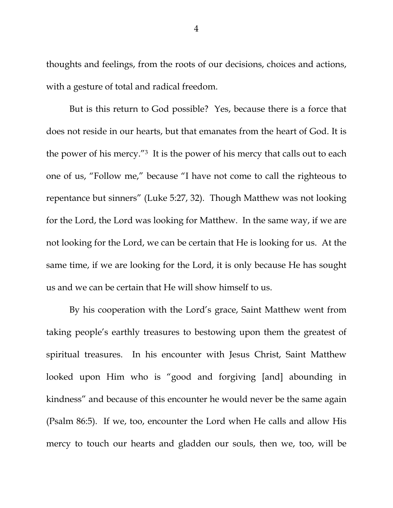thoughts and feelings, from the roots of our decisions, choices and actions, with a gesture of total and radical freedom.

But is this return to God possible? Yes, because there is a force that does not reside in our hearts, but that emanates from the heart of God. It is the power of his mercy."3 It is the power of his mercy that calls out to each one of us, "Follow me," because "I have not come to call the righteous to repentance but sinners" (Luke 5:27, 32). Though Matthew was not looking for the Lord, the Lord was looking for Matthew. In the same way, if we are not looking for the Lord, we can be certain that He is looking for us. At the same time, if we are looking for the Lord, it is only because He has sought us and we can be certain that He will show himself to us.

 By his cooperation with the Lord's grace, Saint Matthew went from taking people's earthly treasures to bestowing upon them the greatest of spiritual treasures. In his encounter with Jesus Christ, Saint Matthew looked upon Him who is "good and forgiving [and] abounding in kindness" and because of this encounter he would never be the same again (Psalm 86:5). If we, too, encounter the Lord when He calls and allow His mercy to touch our hearts and gladden our souls, then we, too, will be